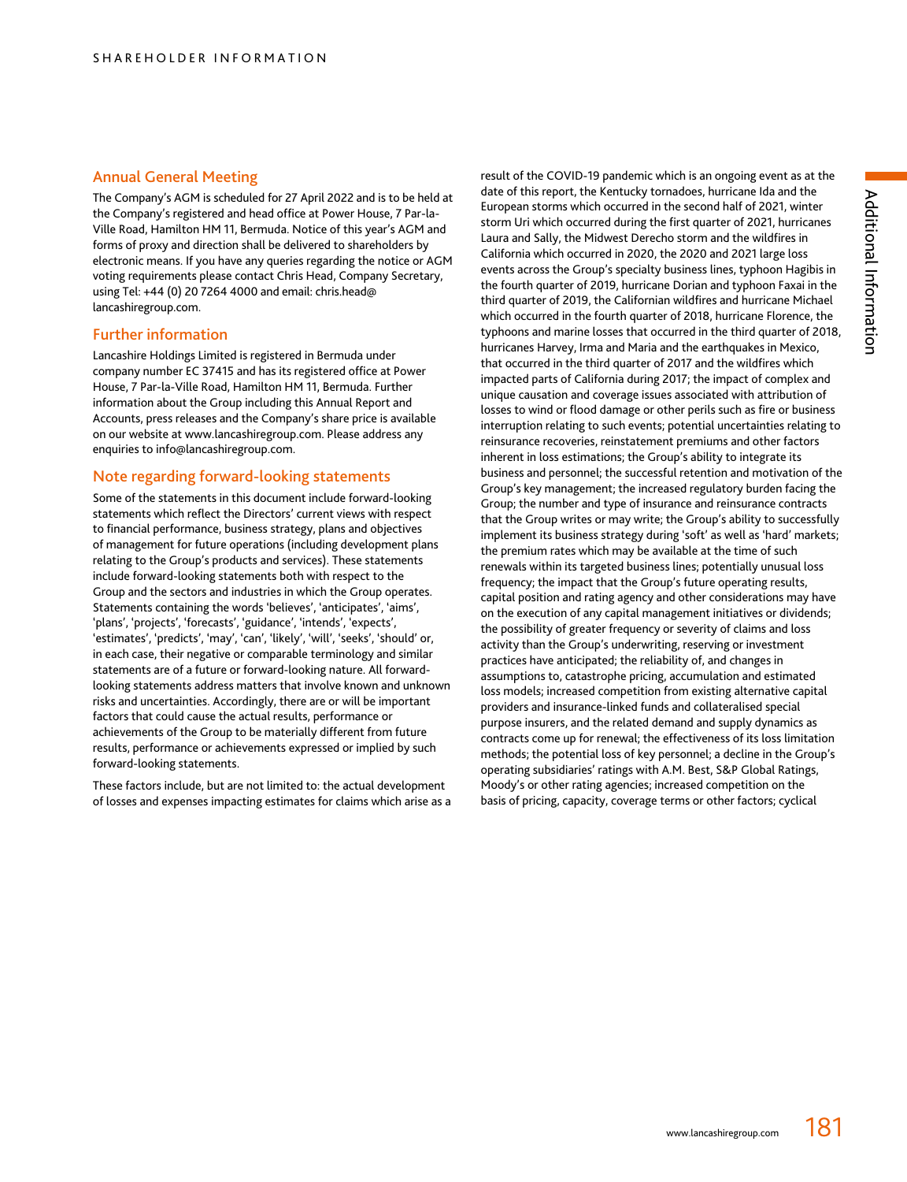## Annual General Meeting

The Company's AGM is scheduled for 27 April 2022 and is to be held at the Company's registered and head office at Power House, 7 Par-la-Ville Road, Hamilton HM 11, Bermuda. Notice of this year's AGM and forms of proxy and direction shall be delivered to shareholders by electronic means. If you have any queries regarding the notice or AGM voting requirements please contact Chris Head, Company Secretary, using Tel: +44 (0) 20 7264 4000 and email: chris.head@ lancashiregroup.com.

## Further information

Lancashire Holdings Limited is registered in Bermuda under company number EC 37415 and has its registered office at Power House, 7 Par-la-Ville Road, Hamilton HM 11, Bermuda. Further information about the Group including this Annual Report and Accounts, press releases and the Company's share price is available on our website at www.lancashiregroup.com. Please address any enquiries to info@lancashiregroup.com.

# Note regarding forward-looking statements

Some of the statements in this document include forward-looking statements which reflect the Directors' current views with respect to financial performance, business strategy, plans and objectives of management for future operations (including development plans relating to the Group's products and services). These statements include forward-looking statements both with respect to the Group and the sectors and industries in which the Group operates. Statements containing the words 'believes', 'anticipates', 'aims', 'plans', 'projects', 'forecasts', 'guidance', 'intends', 'expects', 'estimates', 'predicts', 'may', 'can', 'likely', 'will', 'seeks', 'should' or, in each case, their negative or comparable terminology and similar statements are of a future or forward-looking nature. All forwardlooking statements address matters that involve known and unknown risks and uncertainties. Accordingly, there are or will be important factors that could cause the actual results, performance or achievements of the Group to be materially different from future results, performance or achievements expressed or implied by such forward-looking statements.

These factors include, but are not limited to: the actual development of losses and expenses impacting estimates for claims which arise as a result of the COVID-19 pandemic which is an ongoing event as at the date of this report, the Kentucky tornadoes, hurricane Ida and the European storms which occurred in the second half of 2021, winter storm Uri which occurred during the first quarter of 2021, hurricanes Laura and Sally, the Midwest Derecho storm and the wildfires in California which occurred in 2020, the 2020 and 2021 large loss events across the Group's specialty business lines, typhoon Hagibis in the fourth quarter of 2019, hurricane Dorian and typhoon Faxai in the third quarter of 2019, the Californian wildfires and hurricane Michael which occurred in the fourth quarter of 2018, hurricane Florence, the typhoons and marine losses that occurred in the third quarter of 2018, hurricanes Harvey, Irma and Maria and the earthquakes in Mexico, that occurred in the third quarter of 2017 and the wildfires which impacted parts of California during 2017; the impact of complex and unique causation and coverage issues associated with attribution of losses to wind or flood damage or other perils such as fire or business interruption relating to such events; potential uncertainties relating to reinsurance recoveries, reinstatement premiums and other factors inherent in loss estimations; the Group's ability to integrate its business and personnel; the successful retention and motivation of the Group's key management; the increased regulatory burden facing the Group; the number and type of insurance and reinsurance contracts that the Group writes or may write; the Group's ability to successfully implement its business strategy during 'soft' as well as 'hard' markets; the premium rates which may be available at the time of such renewals within its targeted business lines; potentially unusual loss frequency; the impact that the Group's future operating results, capital position and rating agency and other considerations may have on the execution of any capital management initiatives or dividends; the possibility of greater frequency or severity of claims and loss activity than the Group's underwriting, reserving or investment practices have anticipated; the reliability of, and changes in assumptions to, catastrophe pricing, accumulation and estimated loss models; increased competition from existing alternative capital providers and insurance-linked funds and collateralised special purpose insurers, and the related demand and supply dynamics as contracts come up for renewal; the effectiveness of its loss limitation methods; the potential loss of key personnel; a decline in the Group's operating subsidiaries' ratings with A.M. Best, S&P Global Ratings, Moody's or other rating agencies; increased competition on the basis of pricing, capacity, coverage terms or other factors; cyclical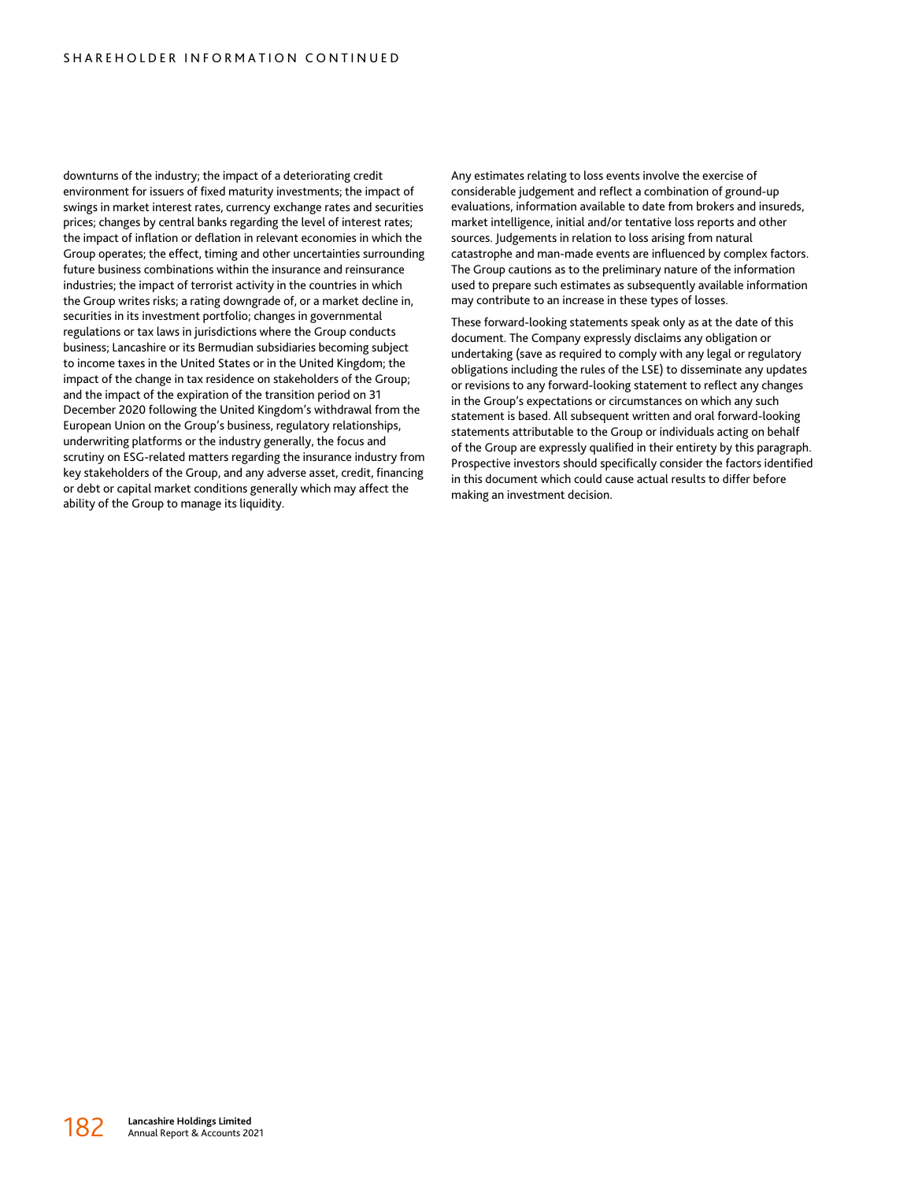downturns of the industry; the impact of a deteriorating credit environment for issuers of fixed maturity investments; the impact of swings in market interest rates, currency exchange rates and securities prices; changes by central banks regarding the level of interest rates; the impact of inflation or deflation in relevant economies in which the Group operates; the effect, timing and other uncertainties surrounding future business combinations within the insurance and reinsurance industries; the impact of terrorist activity in the countries in which the Group writes risks; a rating downgrade of, or a market decline in, securities in its investment portfolio; changes in governmental regulations or tax laws in jurisdictions where the Group conducts business; Lancashire or its Bermudian subsidiaries becoming subject to income taxes in the United States or in the United Kingdom; the impact of the change in tax residence on stakeholders of the Group; and the impact of the expiration of the transition period on 31 December 2020 following the United Kingdom's withdrawal from the European Union on the Group's business, regulatory relationships, underwriting platforms or the industry generally, the focus and scrutiny on ESG-related matters regarding the insurance industry from key stakeholders of the Group, and any adverse asset, credit, financing or debt or capital market conditions generally which may affect the ability of the Group to manage its liquidity.

Any estimates relating to loss events involve the exercise of considerable judgement and reflect a combination of ground-up evaluations, information available to date from brokers and insureds, market intelligence, initial and/or tentative loss reports and other sources. Judgements in relation to loss arising from natural catastrophe and man-made events are influenced by complex factors. The Group cautions as to the preliminary nature of the information used to prepare such estimates as subsequently available information may contribute to an increase in these types of losses.

These forward-looking statements speak only as at the date of this document. The Company expressly disclaims any obligation or undertaking (save as required to comply with any legal or regulatory obligations including the rules of the LSE) to disseminate any updates or revisions to any forward-looking statement to reflect any changes in the Group's expectations or circumstances on which any such statement is based. All subsequent written and oral forward-looking statements attributable to the Group or individuals acting on behalf of the Group are expressly qualified in their entirety by this paragraph. Prospective investors should specifically consider the factors identified in this document which could cause actual results to differ before making an investment decision.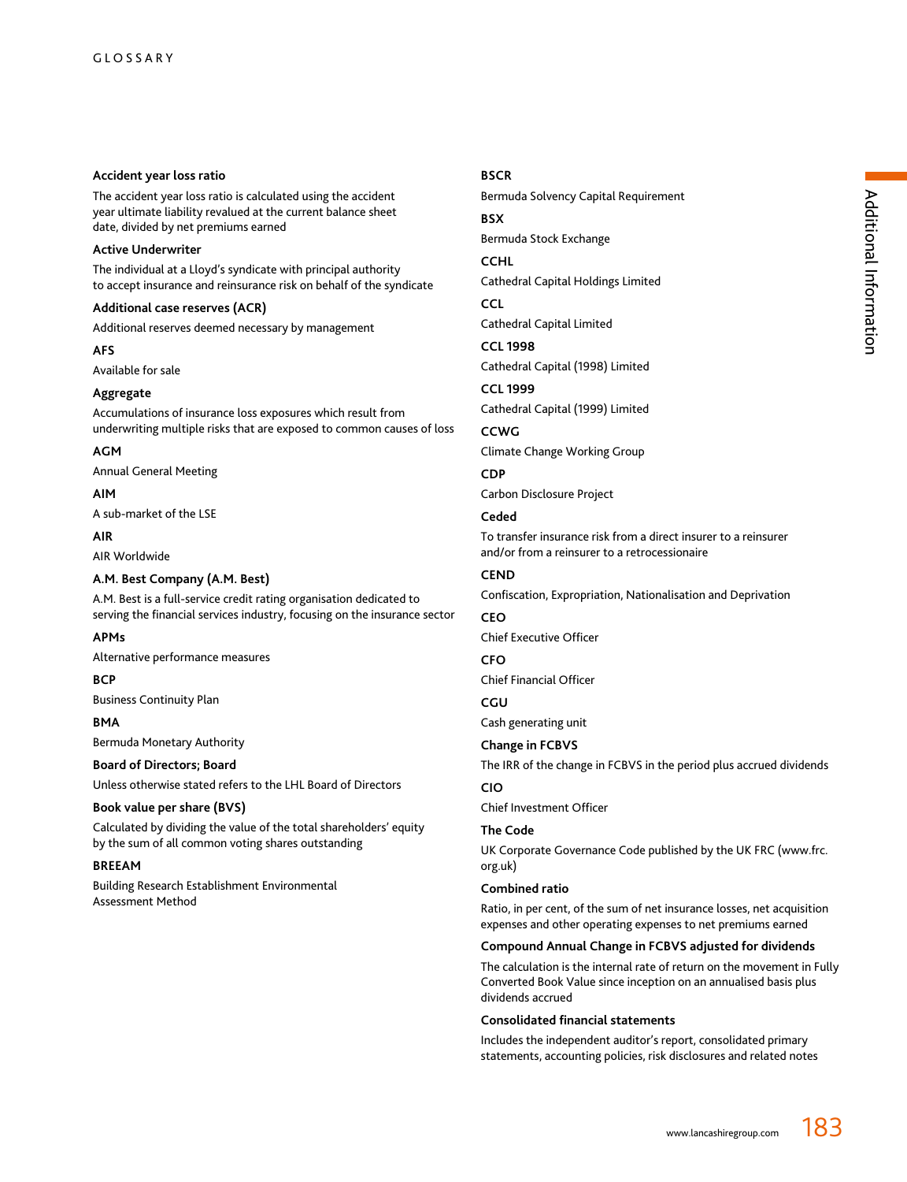## **Accident year loss ratio**

The accident year loss ratio is calculated using the accident year ultimate liability revalued at the current balance sheet date, divided by net premiums earned

## **Active Underwriter**

The individual at a Lloyd's syndicate with principal authority to accept insurance and reinsurance risk on behalf of the syndicate

## **Additional case reserves (ACR)**

Additional reserves deemed necessary by management

**AFS**

## Available for sale

## **Aggregate**

Accumulations of insurance loss exposures which result from underwriting multiple risks that are exposed to common causes of loss

## **AGM**

Annual General Meeting

# **AIM**

A sub-market of the LSE

# **AIR**

AIR Worldwide

# **A.M. Best Company (A.M. Best)**

A.M. Best is a full-service credit rating organisation dedicated to serving the financial services industry, focusing on the insurance sector

## **APMs**

Alternative performance measures

# **BCP**

Business Continuity Plan

## **BMA**

Bermuda Monetary Authority

## **Board of Directors; Board**

Unless otherwise stated refers to the LHL Board of Directors

## **Book value per share (BVS)**

Calculated by dividing the value of the total shareholders' equity by the sum of all common voting shares outstanding

## **BREEAM**

Building Research Establishment Environmental Assessment Method

# **BSCR**

Bermuda Solvency Capital Requirement **BSX**

Bermuda Stock Exchange

## **CCHL**

Cathedral Capital Holdings Limited

# **CCL**

Cathedral Capital Limited

## **CCL 1998**

Cathedral Capital (1998) Limited

# **CCL 1999**

Cathedral Capital (1999) Limited

# **CCWG**

Climate Change Working Group

# **CDP**

Carbon Disclosure Project

# **Ceded**

To transfer insurance risk from a direct insurer to a reinsurer and/or from a reinsurer to a retrocessionaire

# **CEND**

Confiscation, Expropriation, Nationalisation and Deprivation

# **CEO**

Chief Executive Officer

# **CFO**

Chief Financial Officer

# **CGU**

Cash generating unit

# **Change in FCBVS**

The IRR of the change in FCBVS in the period plus accrued dividends **CIO**

# Chief Investment Officer

## **The Code**

UK Corporate Governance Code published by the UK FRC (www.frc. org.uk)

## **Combined ratio**

Ratio, in per cent, of the sum of net insurance losses, net acquisition expenses and other operating expenses to net premiums earned

## **Compound Annual Change in FCBVS adjusted for dividends**

The calculation is the internal rate of return on the movement in Fully Converted Book Value since inception on an annualised basis plus dividends accrued

## **Consolidated financial statements**

Includes the independent auditor's report, consolidated primary statements, accounting policies, risk disclosures and related notes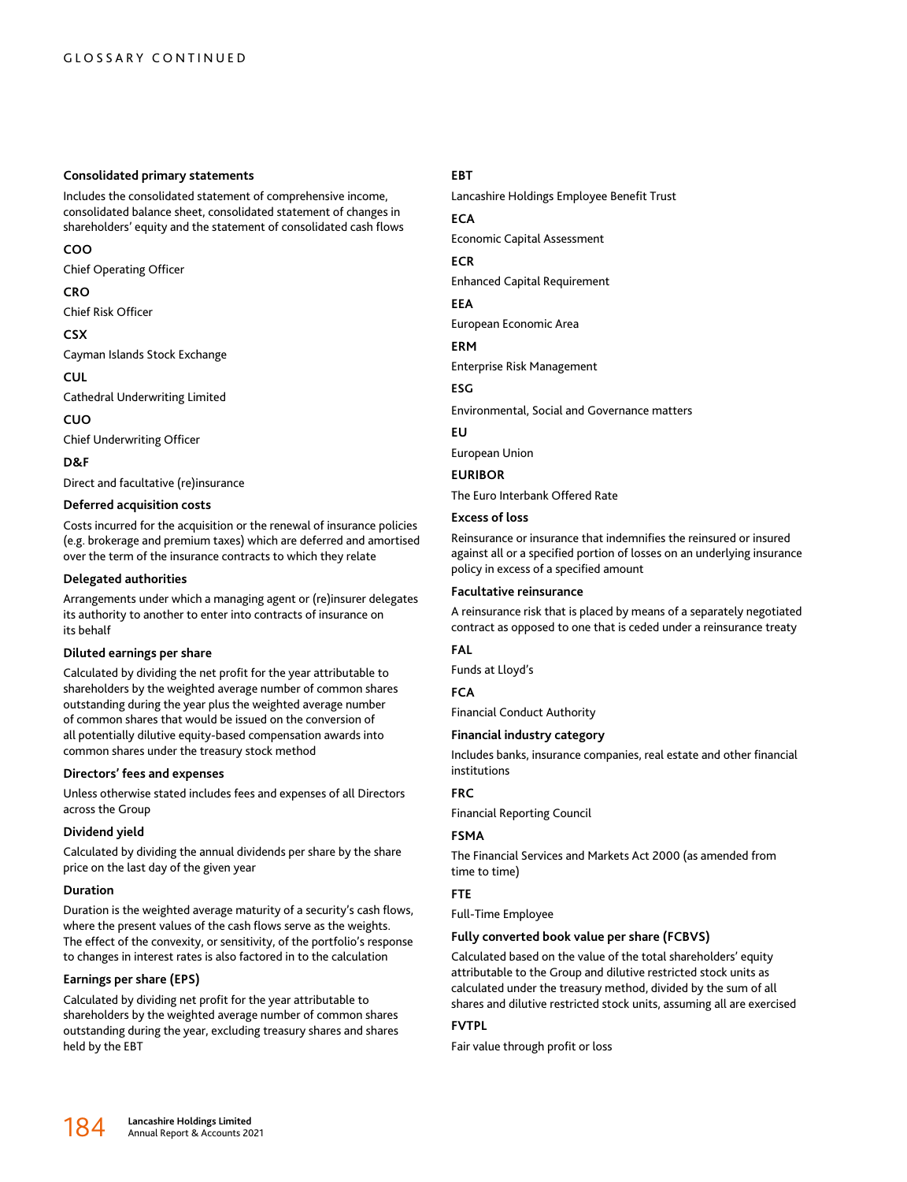#### **Consolidated primary statements**

Includes the consolidated statement of comprehensive income, consolidated balance sheet, consolidated statement of changes in shareholders' equity and the statement of consolidated cash flows

# **COO**

Chief Operating Officer

# **CRO**

Chief Risk Officer

# **CSX**

Cayman Islands Stock Exchange

**CUL**

Cathedral Underwriting Limited

**CUO**

Chief Underwriting Officer

## **D&F**

Direct and facultative (re)insurance

## **Deferred acquisition costs**

Costs incurred for the acquisition or the renewal of insurance policies (e.g. brokerage and premium taxes) which are deferred and amortised over the term of the insurance contracts to which they relate

## **Delegated authorities**

Arrangements under which a managing agent or (re)insurer delegates its authority to another to enter into contracts of insurance on its behalf

## **Diluted earnings per share**

Calculated by dividing the net profit for the year attributable to shareholders by the weighted average number of common shares outstanding during the year plus the weighted average number of common shares that would be issued on the conversion of all potentially dilutive equity-based compensation awards into common shares under the treasury stock method

## **Directors' fees and expenses**

Unless otherwise stated includes fees and expenses of all Directors across the Group

## **Dividend yield**

Calculated by dividing the annual dividends per share by the share price on the last day of the given year

## **Duration**

Duration is the weighted average maturity of a security's cash flows, where the present values of the cash flows serve as the weights. The effect of the convexity, or sensitivity, of the portfolio's response to changes in interest rates is also factored in to the calculation

## **Earnings per share (EPS)**

Calculated by dividing net profit for the year attributable to shareholders by the weighted average number of common shares outstanding during the year, excluding treasury shares and shares held by the EBT

## **EBT**

Lancashire Holdings Employee Benefit Trust

## **ECA**

Economic Capital Assessment

## **ECR**

Enhanced Capital Requirement

#### **EEA**

European Economic Area

## **ERM**

Enterprise Risk Management

#### **ESG**

Environmental, Social and Governance matters

#### **EU**

European Union

## **EURIBOR**

The Euro Interbank Offered Rate

## **Excess of loss**

Reinsurance or insurance that indemnifies the reinsured or insured against all or a specified portion of losses on an underlying insurance policy in excess of a specified amount

## **Facultative reinsurance**

A reinsurance risk that is placed by means of a separately negotiated contract as opposed to one that is ceded under a reinsurance treaty

## **FAL**

Funds at Lloyd's

## **FCA**

Financial Conduct Authority

## **Financial industry category**

Includes banks, insurance companies, real estate and other financial institutions

## **FRC**

Financial Reporting Council

## **FSMA**

The Financial Services and Markets Act 2000 (as amended from time to time)

## **FTE**

Full-Time Employee

## **Fully converted book value per share (FCBVS)**

Calculated based on the value of the total shareholders' equity attributable to the Group and dilutive restricted stock units as calculated under the treasury method, divided by the sum of all shares and dilutive restricted stock units, assuming all are exercised

## **FVTPL**

Fair value through profit or loss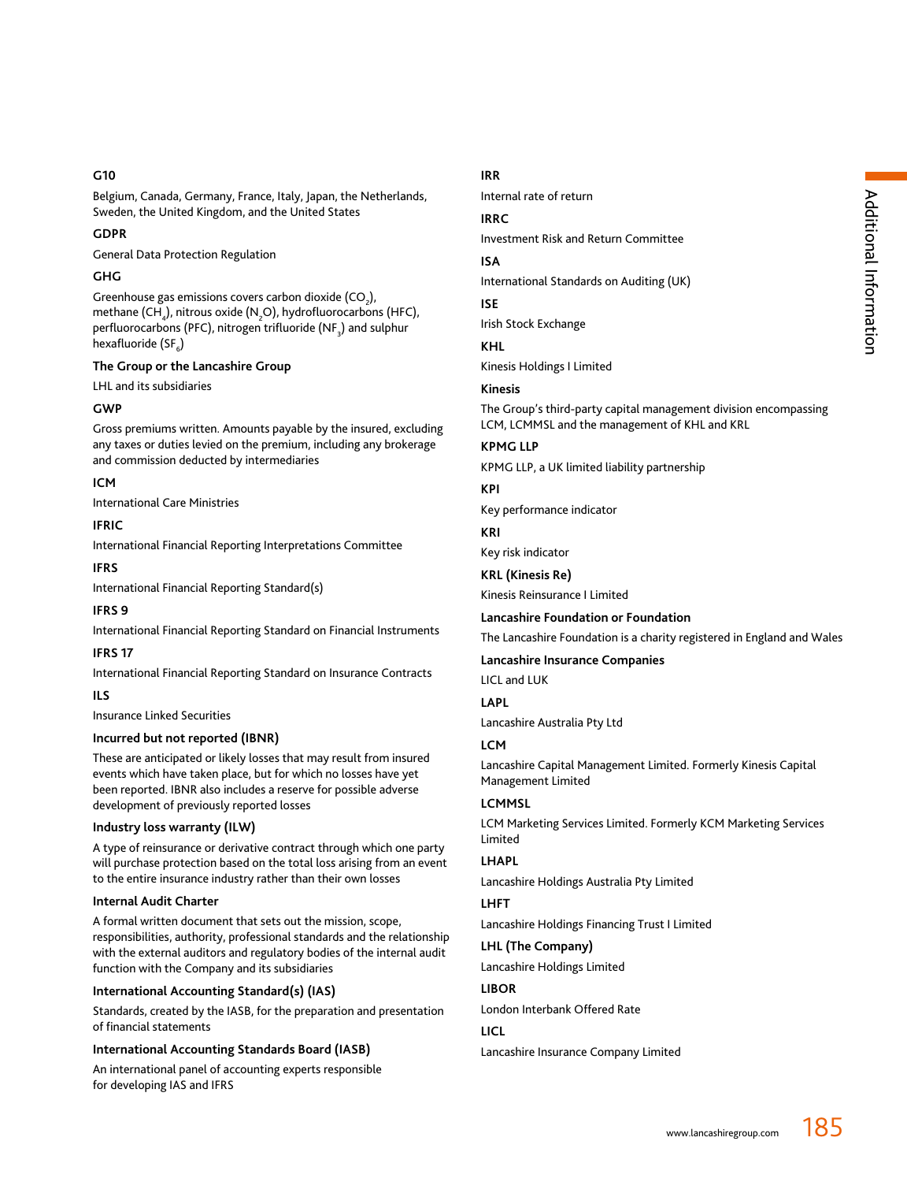## **G10**

Belgium, Canada, Germany, France, Italy, Japan, the Netherlands, Sweden, the United Kingdom, and the United States

## **GDPR**

General Data Protection Regulation

# **GHG**

Greenhouse gas emissions covers carbon dioxide (CO<sub>2</sub>), methane (CH<sub>4</sub>), nitrous oxide (N<sub>2</sub>O), hydrofluorocarbons (HFC), perfluorocarbons (PFC), nitrogen trifluoride (NF $_{\rm_3}$ ) and sulphur hexafluoride (SF<sub>6</sub>)

# **The Group or the Lancashire Group**

LHL and its subsidiaries

## **GWP**

Gross premiums written. Amounts payable by the insured, excluding any taxes or duties levied on the premium, including any brokerage and commission deducted by intermediaries

# **ICM**

International Care Ministries

## **IFRIC**

International Financial Reporting Interpretations Committee

## **IFRS**

International Financial Reporting Standard(s)

# **IFRS 9**

International Financial Reporting Standard on Financial Instruments

## **IFRS 17**

International Financial Reporting Standard on Insurance Contracts

## **ILS**

Insurance Linked Securities

## **Incurred but not reported (IBNR)**

These are anticipated or likely losses that may result from insured events which have taken place, but for which no losses have yet been reported. IBNR also includes a reserve for possible adverse development of previously reported losses

## **Industry loss warranty (ILW)**

A type of reinsurance or derivative contract through which one party will purchase protection based on the total loss arising from an event to the entire insurance industry rather than their own losses

## **Internal Audit Charter**

A formal written document that sets out the mission, scope, responsibilities, authority, professional standards and the relationship with the external auditors and regulatory bodies of the internal audit function with the Company and its subsidiaries

## **International Accounting Standard(s) (IAS)**

Standards, created by the IASB, for the preparation and presentation of financial statements

# **International Accounting Standards Board (IASB)**

An international panel of accounting experts responsible for developing IAS and IFRS

# **IRR**

Internal rate of return

# **IRRC**

Investment Risk and Return Committee

# **ISA**

International Standards on Auditing (UK)

**ISE**

Irish Stock Exchange

# **KHL**

Kinesis Holdings I Limited

# **Kinesis**

The Group's third-party capital management division encompassing LCM, LCMMSL and the management of KHL and KRL

# **KPMG LLP**

KPMG LLP, a UK limited liability partnership

# **KPI**

Key performance indicator

# **KRI**

Key risk indicator

# **KRL (Kinesis Re)**

Kinesis Reinsurance I Limited

**Lancashire Foundation or Foundation**

## The Lancashire Foundation is a charity registered in England and Wales

**Lancashire Insurance Companies**

LICL and LUK

## **LAPL**

Lancashire Australia Pty Ltd

# **LCM**

Lancashire Capital Management Limited. Formerly Kinesis Capital Management Limited

## **LCMMSL**

LCM Marketing Services Limited. Formerly KCM Marketing Services Limited

# **LHAPL**

Lancashire Holdings Australia Pty Limited

## **LHFT**

Lancashire Holdings Financing Trust I Limited

# **LHL (The Company)** Lancashire Holdings Limited

# **LIBOR**

London Interbank Offered Rate

# **LICL**

Lancashire Insurance Company Limited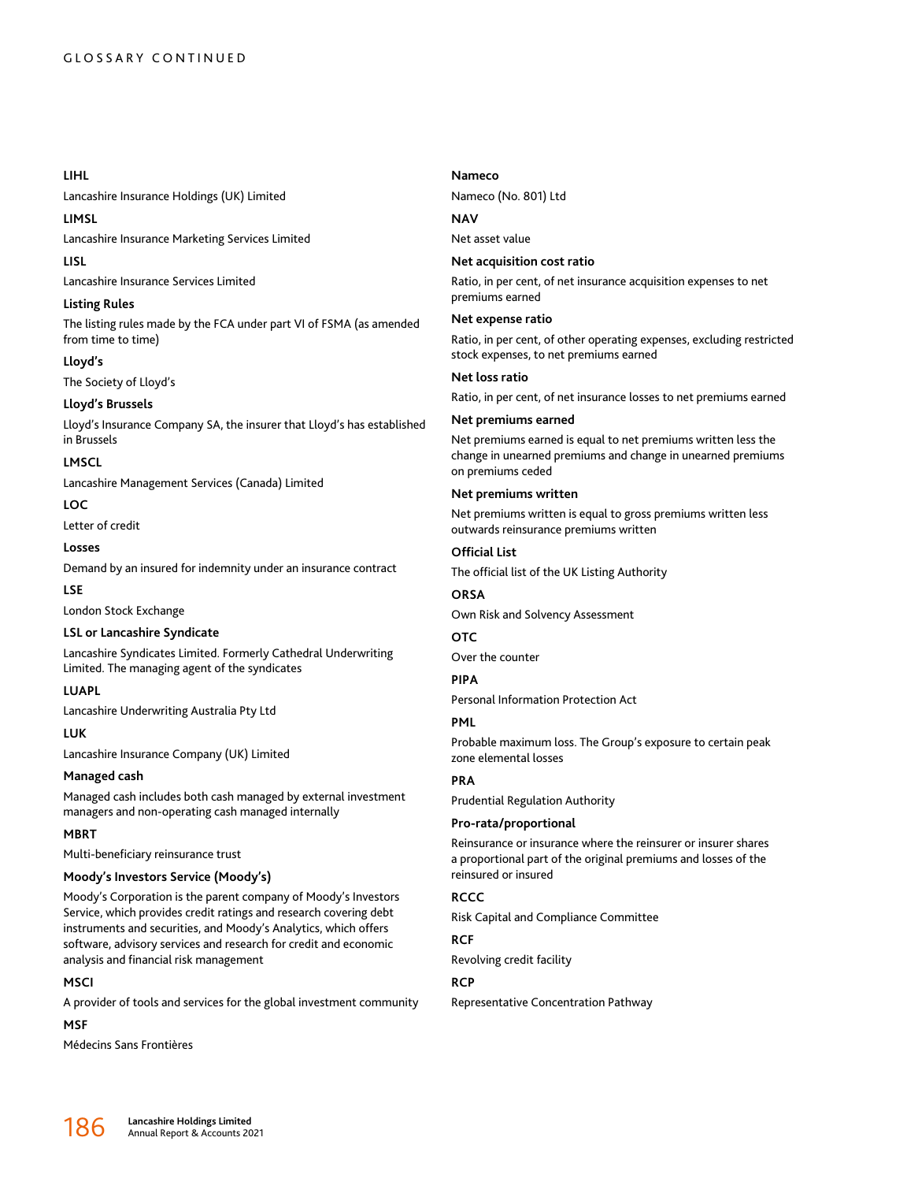## **LIHL**

Lancashire Insurance Holdings (UK) Limited

## **LIMSL**

Lancashire Insurance Marketing Services Limited

## **LISL**

Lancashire Insurance Services Limited

## **Listing Rules**

The listing rules made by the FCA under part VI of FSMA (as amended from time to time)

## **Lloyd's**

The Society of Lloyd's

## **Lloyd's Brussels**

Lloyd's Insurance Company SA, the insurer that Lloyd's has established in Brussels

## **LMSCL**

Lancashire Management Services (Canada) Limited

**LOC**

Letter of credit

## **Losses**

Demand by an insured for indemnity under an insurance contract

## **LSE**

London Stock Exchange

## **LSL or Lancashire Syndicate**

Lancashire Syndicates Limited. Formerly Cathedral Underwriting Limited. The managing agent of the syndicates

# **LUAPL**

Lancashire Underwriting Australia Pty Ltd

# **LUK**

Lancashire Insurance Company (UK) Limited

## **Managed cash**

Managed cash includes both cash managed by external investment managers and non-operating cash managed internally

## **MBRT**

Multi-beneficiary reinsurance trust

## **Moody's Investors Service (Moody's)**

Moody's Corporation is the parent company of Moody's Investors Service, which provides credit ratings and research covering debt instruments and securities, and Moody's Analytics, which offers software, advisory services and research for credit and economic analysis and financial risk management

## **MSCI**

A provider of tools and services for the global investment community

## **MSF**

Médecins Sans Frontières

# **Nameco**

Nameco (No. 801) Ltd

# **NAV**

Net asset value

## **Net acquisition cost ratio**

Ratio, in per cent, of net insurance acquisition expenses to net premiums earned

## **Net expense ratio**

Ratio, in per cent, of other operating expenses, excluding restricted stock expenses, to net premiums earned

## **Net loss ratio**

Ratio, in per cent, of net insurance losses to net premiums earned

## **Net premiums earned**

Net premiums earned is equal to net premiums written less the change in unearned premiums and change in unearned premiums on premiums ceded

## **Net premiums written**

Net premiums written is equal to gross premiums written less outwards reinsurance premiums written

# **Official List**

The official list of the UK Listing Authority

## **ORSA**

Own Risk and Solvency Assessment

# **OTC**

Over the counter

# **PIPA**

Personal Information Protection Act

## **PML**

Probable maximum loss. The Group's exposure to certain peak zone elemental losses

# **PRA**

Prudential Regulation Authority

## **Pro-rata/proportional**

Reinsurance or insurance where the reinsurer or insurer shares a proportional part of the original premiums and losses of the reinsured or insured

## **RCCC**

Risk Capital and Compliance Committee

# **RCF**

Revolving credit facility

# **RCP**

Representative Concentration Pathway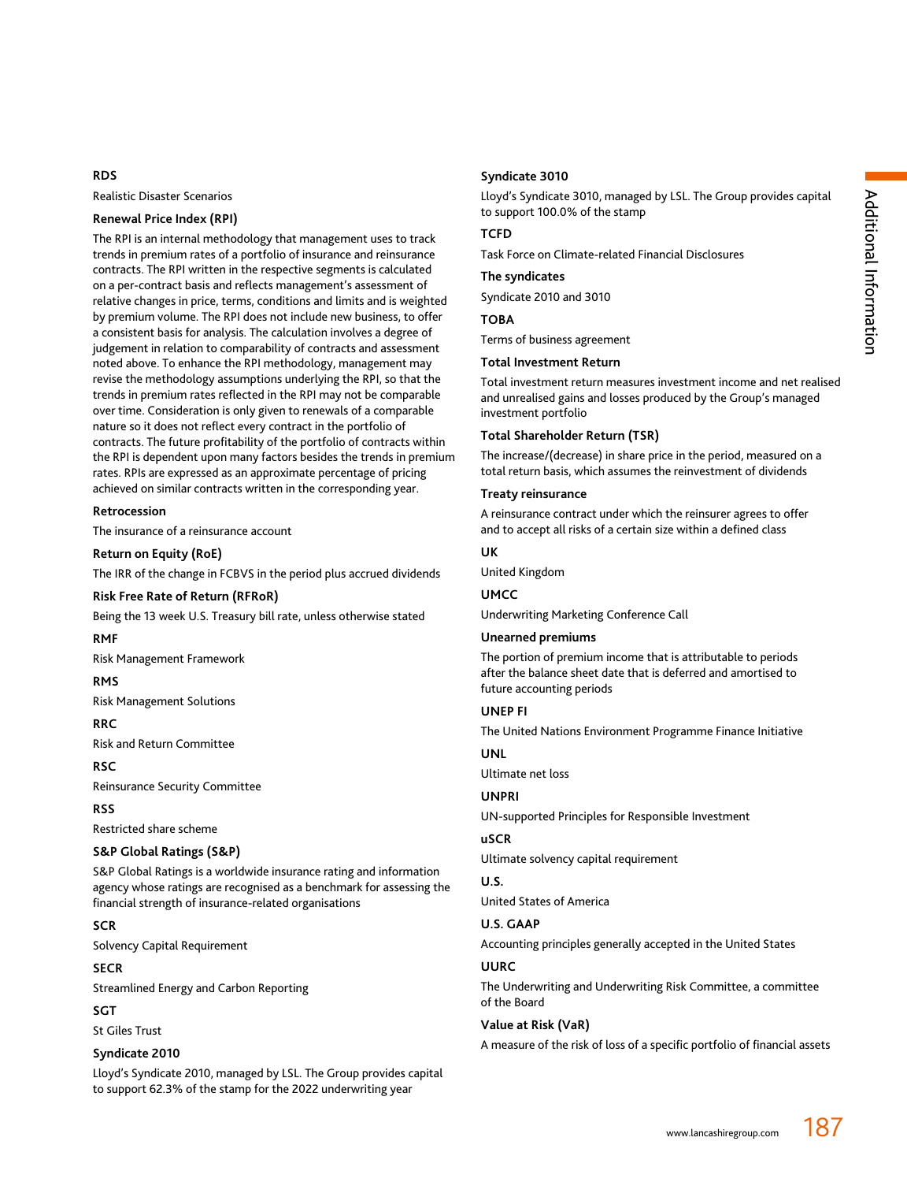# **RDS**

Realistic Disaster Scenarios

## **Renewal Price Index (RPI)**

The RPI is an internal methodology that management uses to track trends in premium rates of a portfolio of insurance and reinsurance contracts. The RPI written in the respective segments is calculated on a per-contract basis and reflects management's assessment of relative changes in price, terms, conditions and limits and is weighted by premium volume. The RPI does not include new business, to offer a consistent basis for analysis. The calculation involves a degree of judgement in relation to comparability of contracts and assessment noted above. To enhance the RPI methodology, management may revise the methodology assumptions underlying the RPI, so that the trends in premium rates reflected in the RPI may not be comparable over time. Consideration is only given to renewals of a comparable nature so it does not reflect every contract in the portfolio of contracts. The future profitability of the portfolio of contracts within the RPI is dependent upon many factors besides the trends in premium rates. RPIs are expressed as an approximate percentage of pricing achieved on similar contracts written in the corresponding year.

#### **Retrocession**

The insurance of a reinsurance account

#### **Return on Equity (RoE)**

The IRR of the change in FCBVS in the period plus accrued dividends

## **Risk Free Rate of Return (RFRoR)**

Being the 13 week U.S. Treasury bill rate, unless otherwise stated

## **RMF**

Risk Management Framework

#### **RMS**

Risk Management Solutions

## **RRC**

Risk and Return Committee

## **RSC**

Reinsurance Security Committee

#### **RSS**

Restricted share scheme

#### **S&P Global Ratings (S&P)**

S&P Global Ratings is a worldwide insurance rating and information agency whose ratings are recognised as a benchmark for assessing the financial strength of insurance-related organisations

#### **SCR**

Solvency Capital Requirement

## **SECR**

Streamlined Energy and Carbon Reporting

#### **SGT**

St Giles Trust

## **Syndicate 2010**

Lloyd's Syndicate 2010, managed by LSL. The Group provides capital to support 62.3% of the stamp for the 2022 underwriting year

## **Syndicate 3010**

Lloyd's Syndicate 3010, managed by LSL. The Group provides capital to support 100.0% of the stamp

# **TCFD**

Task Force on Climate-related Financial Disclosures

## **The syndicates**

Syndicate 2010 and 3010

# **TOBA**

Terms of business agreement

#### **Total Investment Return**

Total investment return measures investment income and net realised and unrealised gains and losses produced by the Group's managed investment portfolio

#### **Total Shareholder Return (TSR)**

The increase/(decrease) in share price in the period, measured on a total return basis, which assumes the reinvestment of dividends

#### **Treaty reinsurance**

A reinsurance contract under which the reinsurer agrees to offer and to accept all risks of a certain size within a defined class

## **UK**

United Kingdom

## **UMCC**

Underwriting Marketing Conference Call

#### **Unearned premiums**

The portion of premium income that is attributable to periods after the balance sheet date that is deferred and amortised to future accounting periods

# **UNEP FI**

The United Nations Environment Programme Finance Initiative

## **UNL**

Ultimate net loss

# **UNPRI**

UN-supported Principles for Responsible Investment

#### **uSCR**

Ultimate solvency capital requirement

#### **U.S.**

United States of America

## **U.S. GAAP**

Accounting principles generally accepted in the United States

## **UURC**

The Underwriting and Underwriting Risk Committee, a committee of the Board

## **Value at Risk (VaR)**

A measure of the risk of loss of a specific portfolio of financial assets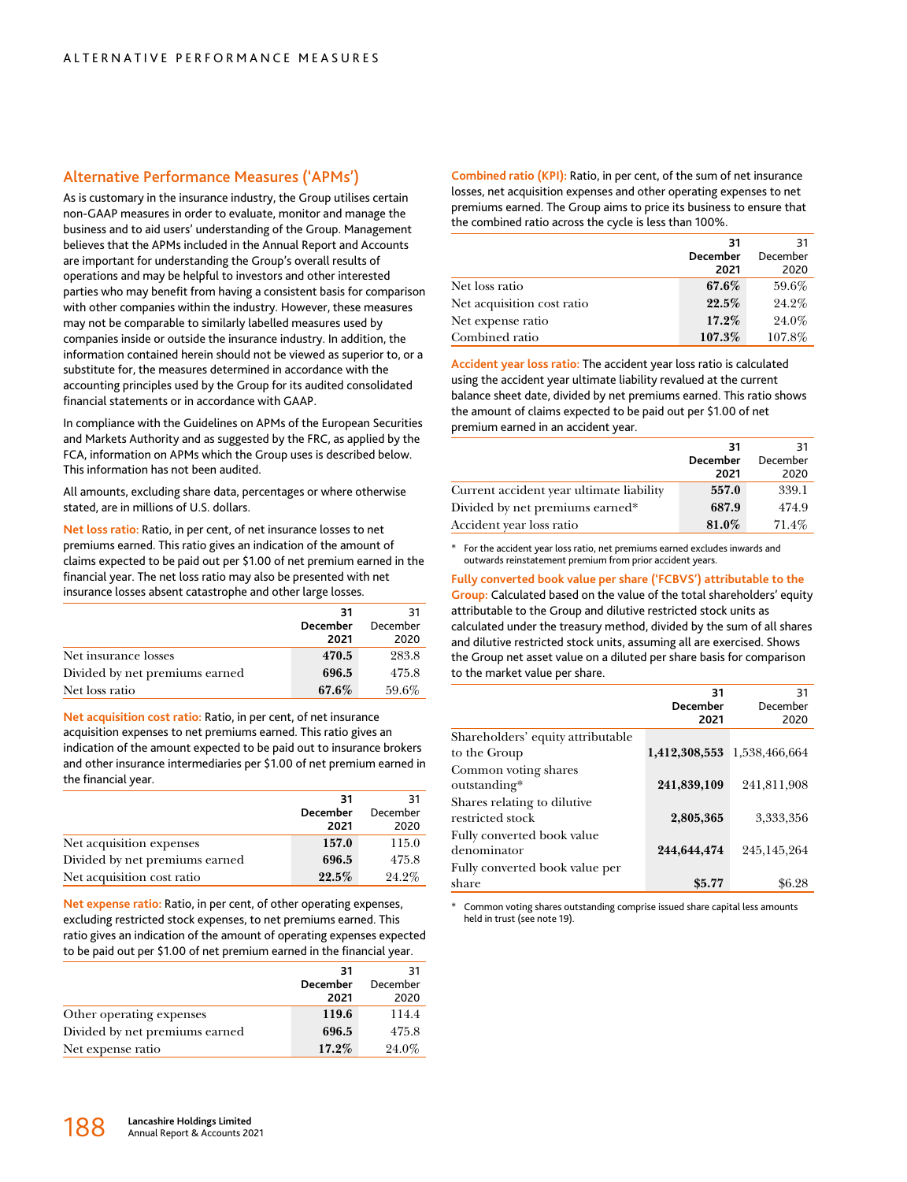## Alternative Performance Measures ('APMs')

As is customary in the insurance industry, the Group utilises certain non-GAAP measures in order to evaluate, monitor and manage the business and to aid users' understanding of the Group. Management believes that the APMs included in the Annual Report and Accounts are important for understanding the Group's overall results of operations and may be helpful to investors and other interested parties who may benefit from having a consistent basis for comparison with other companies within the industry. However, these measures may not be comparable to similarly labelled measures used by companies inside or outside the insurance industry. In addition, the information contained herein should not be viewed as superior to, or a substitute for, the measures determined in accordance with the accounting principles used by the Group for its audited consolidated financial statements or in accordance with GAAP.

In compliance with the Guidelines on APMs of the European Securities and Markets Authority and as suggested by the FRC, as applied by the FCA, information on APMs which the Group uses is described below. This information has not been audited.

All amounts, excluding share data, percentages or where otherwise stated, are in millions of U.S. dollars.

**Net loss ratio:** Ratio, in per cent, of net insurance losses to net premiums earned. This ratio gives an indication of the amount of claims expected to be paid out per \$1.00 of net premium earned in the financial year. The net loss ratio may also be presented with net insurance losses absent catastrophe and other large losses.

|                                | 31              | 31       |
|--------------------------------|-----------------|----------|
|                                | <b>December</b> | December |
|                                | 2021            | 2020     |
| Net insurance losses           | 470.5           | 283.8    |
| Divided by net premiums earned | 696.5           | 475.8    |
| Net loss ratio                 | 67.6%           | 59.6%    |

**Net acquisition cost ratio:** Ratio, in per cent, of net insurance acquisition expenses to net premiums earned. This ratio gives an indication of the amount expected to be paid out to insurance brokers and other insurance intermediaries per \$1.00 of net premium earned in the financial year.

|                                | 31              | 31       |
|--------------------------------|-----------------|----------|
|                                | <b>December</b> | December |
|                                | 2021            | 2020     |
| Net acquisition expenses       | 157.0           | 115.0    |
| Divided by net premiums earned | 696.5           | 475.8    |
| Net acquisition cost ratio     | 22.5%           | 24.2%    |

**Net expense ratio:** Ratio, in per cent, of other operating expenses, excluding restricted stock expenses, to net premiums earned. This ratio gives an indication of the amount of operating expenses expected to be paid out per \$1.00 of net premium earned in the financial year.

|                                | 31              | 31       |
|--------------------------------|-----------------|----------|
|                                | <b>December</b> | December |
|                                | 2021            | 2020     |
| Other operating expenses       | 119.6           | 114.4    |
| Divided by net premiums earned | 696.5           | 475.8    |
| Net expense ratio              | 17.2%           | 24.0%    |

**Combined ratio (KPI):** Ratio, in per cent, of the sum of net insurance losses, net acquisition expenses and other operating expenses to net premiums earned. The Group aims to price its business to ensure that the combined ratio across the cycle is less than 100%.

|                            | 31       | 31       |
|----------------------------|----------|----------|
|                            | December | December |
|                            | 2021     | 2020     |
| Net loss ratio             | 67.6%    | 59.6%    |
| Net acquisition cost ratio | 22.5%    | 24.2%    |
| Net expense ratio          | 17.2%    | 24.0%    |
| Combined ratio             | 107.3%   | 107.8%   |

**Accident year loss ratio:** The accident year loss ratio is calculated using the accident year ultimate liability revalued at the current balance sheet date, divided by net premiums earned. This ratio shows the amount of claims expected to be paid out per \$1.00 of net premium earned in an accident year.

|                                          | 31       | 31       |
|------------------------------------------|----------|----------|
|                                          | December | December |
|                                          | 2021     | 2020     |
| Current accident year ultimate liability | 557.0    | 339.1    |
| Divided by net premiums earned*          | 687.9    | 474.9    |
| Accident year loss ratio                 | 81.0%    | $71.4\%$ |

For the accident year loss ratio, net premiums earned excludes inwards and outwards reinstatement premium from prior accident years.

**Fully converted book value per share ('FCBVS') attributable to the Group:** Calculated based on the value of the total shareholders' equity attributable to the Group and dilutive restricted stock units as calculated under the treasury method, divided by the sum of all shares and dilutive restricted stock units, assuming all are exercised. Shows the Group net asset value on a diluted per share basis for comparison to the market value per share.

|                                                 | 31<br><b>December</b><br>2021 | 31<br>December<br>2020      |
|-------------------------------------------------|-------------------------------|-----------------------------|
| Shareholders' equity attributable               |                               |                             |
| to the Group                                    |                               | 1,412,308,553 1,538,466,664 |
| Common voting shares<br>outstanding*            | 241,839,109                   | 241.811.908                 |
| Shares relating to dilutive<br>restricted stock | 2,805,365                     | 3,333,356                   |
| Fully converted book value<br>denominator       | 244,644,474                   | 245,145,264                 |
| Fully converted book value per<br>share         | \$5.77                        | \$6.28                      |

Common voting shares outstanding comprise issued share capital less amounts held in trust (see note 19).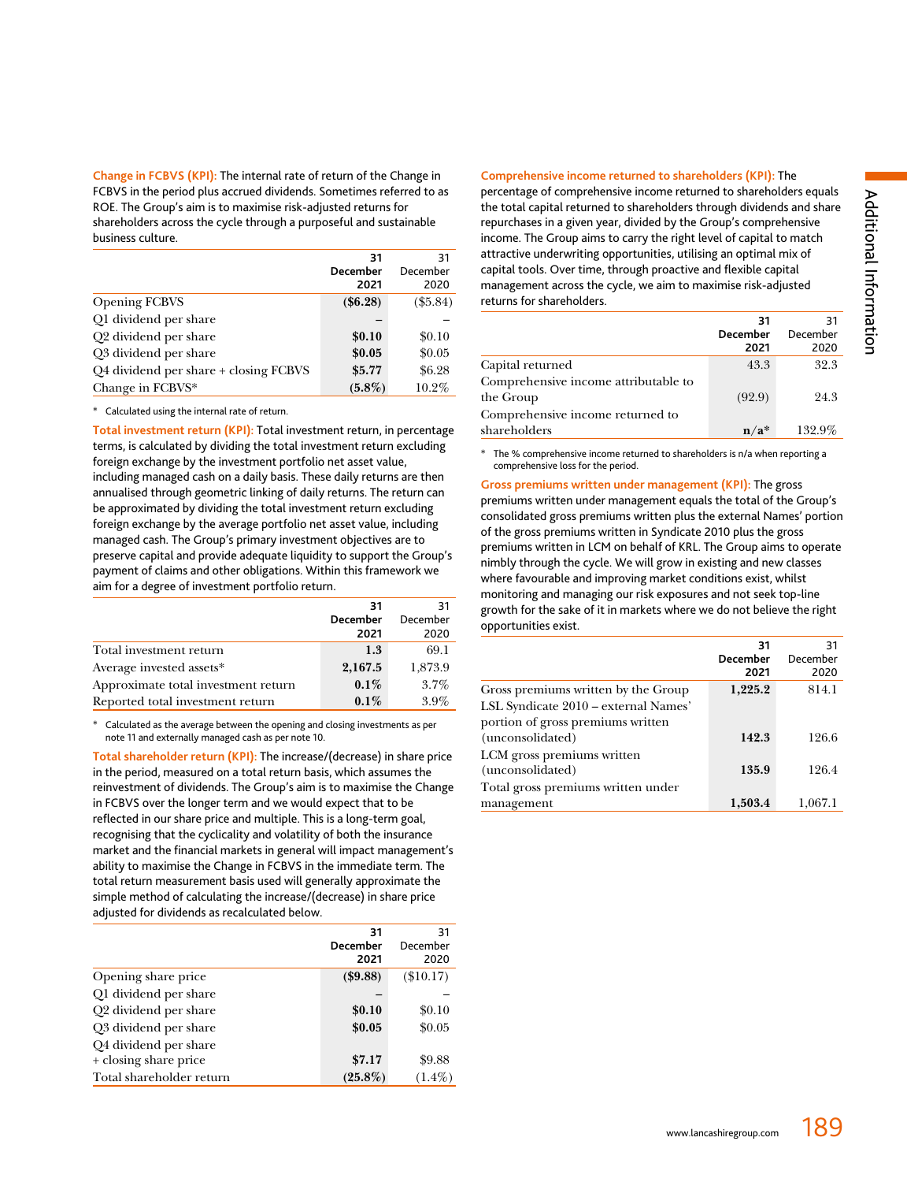**Change in FCBVS (KPI):** The internal rate of return of the Change in FCBVS in the period plus accrued dividends. Sometimes referred to as ROE. The Group's aim is to maximise risk-adjusted returns for shareholders across the cycle through a purposeful and sustainable business culture.

|                                       | 31<br><b>December</b><br>2021 | 31<br>December<br>2020 |
|---------------------------------------|-------------------------------|------------------------|
| <b>Opening FCBVS</b>                  | (\$6.28)                      | $(\$5.84)$             |
| Q1 dividend per share                 |                               |                        |
| Q2 dividend per share                 | \$0.10                        | \$0.10                 |
| Q3 dividend per share                 | \$0.05                        | \$0.05                 |
| Q4 dividend per share + closing FCBVS | \$5.77                        | \$6.28                 |
| Change in FCBVS*                      | $(5.8\%)$                     | 10.2%                  |

\* Calculated using the internal rate of return.

**Total investment return (KPI):** Total investment return, in percentage terms, is calculated by dividing the total investment return excluding foreign exchange by the investment portfolio net asset value, including managed cash on a daily basis. These daily returns are then annualised through geometric linking of daily returns. The return can be approximated by dividing the total investment return excluding foreign exchange by the average portfolio net asset value, including managed cash. The Group's primary investment objectives are to preserve capital and provide adequate liquidity to support the Group's payment of claims and other obligations. Within this framework we aim for a degree of investment portfolio return.

|                                     | 31<br>December<br>2021 | 31<br>December<br>2020 |
|-------------------------------------|------------------------|------------------------|
| Total investment return             | 1.3                    | 69.1                   |
| Average invested assets*            | 2,167.5                | 1,873.9                |
| Approximate total investment return | $0.1\%$                | $3.7\%$                |
| Reported total investment return    | $0.1\%$                | $3.9\%$                |

Calculated as the average between the opening and closing investments as per note 11 and externally managed cash as per note 10.

**Total shareholder return (KPI):** The increase/(decrease) in share price in the period, measured on a total return basis, which assumes the reinvestment of dividends. The Group's aim is to maximise the Change in FCBVS over the longer term and we would expect that to be reflected in our share price and multiple. This is a long-term goal, recognising that the cyclicality and volatility of both the insurance market and the financial markets in general will impact management's ability to maximise the Change in FCBVS in the immediate term. The total return measurement basis used will generally approximate the simple method of calculating the increase/(decrease) in share price adjusted for dividends as recalculated below.

|                          | 31         | 31          |
|--------------------------|------------|-------------|
|                          | December   | December    |
|                          | 2021       | 2020        |
| Opening share price      | ( \$9.88)  | $(\$10.17)$ |
| Q1 dividend per share    |            |             |
| Q2 dividend per share    | \$0.10     | \$0.10      |
| Q3 dividend per share    | \$0.05     | \$0.05      |
| Q4 dividend per share    |            |             |
| + closing share price    | \$7.17     | \$9.88      |
| Total shareholder return | $(25.8\%)$ | $(1.4\%)$   |

#### **Comprehensive income returned to shareholders (KPI):** The

percentage of comprehensive income returned to shareholders equals the total capital returned to shareholders through dividends and share repurchases in a given year, divided by the Group's comprehensive income. The Group aims to carry the right level of capital to match attractive underwriting opportunities, utilising an optimal mix of capital tools. Over time, through proactive and flexible capital management across the cycle, we aim to maximise risk-adjusted returns for shareholders.

|                                      | 31                        | 31       |
|--------------------------------------|---------------------------|----------|
|                                      | <b>December</b>           | December |
|                                      | 2021                      | 2020     |
| Capital returned                     | 43.3                      | 32.3     |
| Comprehensive income attributable to |                           |          |
| the Group                            | (92.9)                    | 24.3     |
| Comprehensive income returned to     |                           |          |
| shareholders                         | $\mathbf{n}/\mathbf{a}^*$ | 132.9%   |

The % comprehensive income returned to shareholders is n/a when reporting a comprehensive loss for the period.

**Gross premiums written under management (KPI):** The gross premiums written under management equals the total of the Group's consolidated gross premiums written plus the external Names' portion of the gross premiums written in Syndicate 2010 plus the gross premiums written in LCM on behalf of KRL. The Group aims to operate nimbly through the cycle. We will grow in existing and new classes where favourable and improving market conditions exist, whilst monitoring and managing our risk exposures and not seek top-line growth for the sake of it in markets where we do not believe the right opportunities exist.

|                                      | 31<br><b>December</b><br>2021 | 31<br>December<br>2020 |
|--------------------------------------|-------------------------------|------------------------|
| Gross premiums written by the Group  | 1,225.2                       | 814.1                  |
| LSL Syndicate 2010 – external Names' |                               |                        |
| portion of gross premiums written    |                               |                        |
| (unconsolidated)                     | 142.3                         | 126.6                  |
| LCM gross premiums written           |                               |                        |
| (unconsolidated)                     | 135.9                         | 126.4                  |
| Total gross premiums written under   |                               |                        |
| management                           | 1,503.4                       | 1,067.1                |